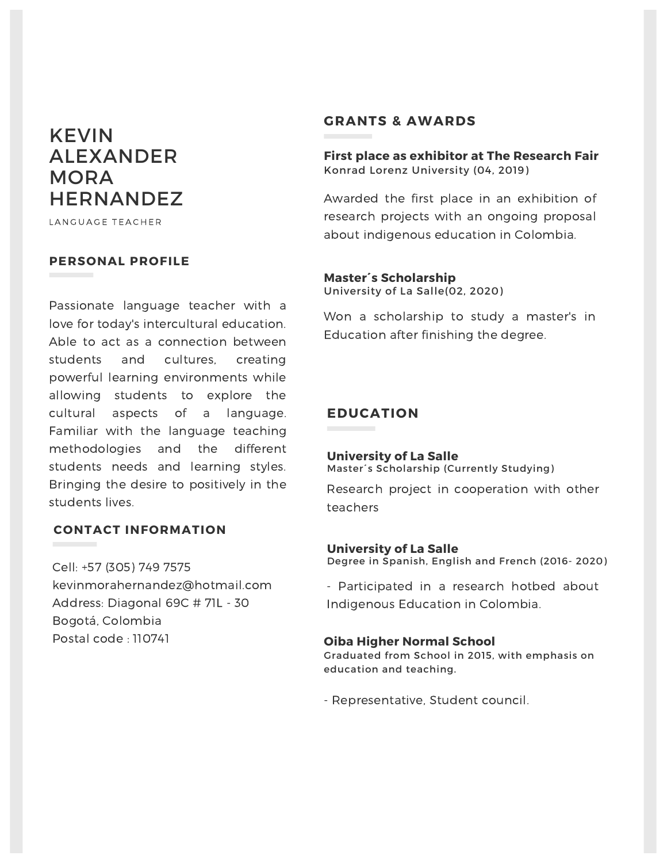# KEVIN ALEXANDER MORA **HERNANDEZ**

LANGUAGE TEACHER

## **PERSONAL PROFILE**

Passionate language teacher with a love for today's intercultural education. Able to act as a connection between students and cultures, creating powerful learning environments while allowing students to explore the cultural aspects of a language. Familiar with the language teaching methodologies and the different students needs and learning styles. Bringing the desire to positively in the students lives.

## **CONTACT INFORMATION**

Cell: +57 (305) 749 7575 kevinmorahernandez@hotmail.com Address: Diagonal 69C # 71L - 30 Bogotá, Colombia Postal code : 110741

## **GRANTS & AWARDS**

**First place as exhibitor at The Research Fair** Konrad Lorenz University (04, 2019)

Awarded the first place in an exhibition of research projects with an ongoing proposal about indigenous education in Colombia.

#### **Master´s Scholarship** University of La Salle(02, 2020)

Won a scholarship to study a master's in Education after finishing the degree.

## **EDUCATION**

#### **University of La Salle** Master´s Scholarship (Currently Studying)

Research project in cooperation with other teachers

#### Degree in Spanish, English and French (2016- 2020) **University of La Salle**

- Participated in a research hotbed about Indigenous Education in Colombia.

#### **Oiba Higher Normal School**

Graduated from School in 2015, with emphasis on education and teaching.

- Representative, Student council.